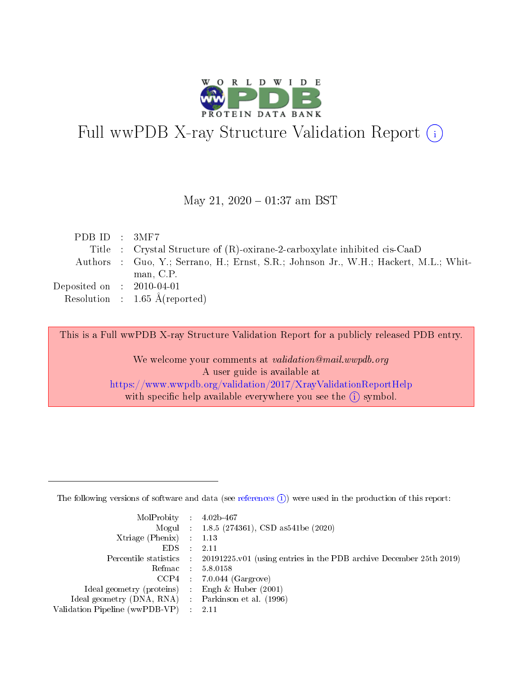

# Full wwPDB X-ray Structure Validation Report (i)

#### May 21,  $2020 - 01:37$  am BST

| PDB ID : $3\text{MF7}$      |                                                                                      |
|-----------------------------|--------------------------------------------------------------------------------------|
|                             | Title : Crystal Structure of (R)-oxirane-2-carboxylate inhibited cis-CaaD            |
|                             | Authors : Guo, Y.; Serrano, H.; Ernst, S.R.; Johnson Jr., W.H.; Hackert, M.L.; Whit- |
|                             | man, C.P.                                                                            |
| Deposited on : $2010-04-01$ |                                                                                      |
|                             | Resolution : $1.65 \text{ Å}$ (reported)                                             |

This is a Full wwPDB X-ray Structure Validation Report for a publicly released PDB entry.

We welcome your comments at validation@mail.wwpdb.org A user guide is available at <https://www.wwpdb.org/validation/2017/XrayValidationReportHelp> with specific help available everywhere you see the  $(i)$  symbol.

The following versions of software and data (see [references](https://www.wwpdb.org/validation/2017/XrayValidationReportHelp#references)  $(1)$ ) were used in the production of this report:

| $MolProbability$ : 4.02b-467                      |                              |                                                                                            |
|---------------------------------------------------|------------------------------|--------------------------------------------------------------------------------------------|
|                                                   |                              | Mogul : $1.8.5$ (274361), CSD as 541be (2020)                                              |
| Xtriage (Phenix) $: 1.13$                         |                              |                                                                                            |
| EDS –                                             | $\sim$                       | -2.11                                                                                      |
|                                                   |                              | Percentile statistics : 20191225.v01 (using entries in the PDB archive December 25th 2019) |
| Refmac : 5.8.0158                                 |                              |                                                                                            |
| CCP4                                              |                              | $7.0.044$ (Gargrove)                                                                       |
| Ideal geometry (proteins)                         | $\mathcal{L}_{\mathrm{eff}}$ | Engh & Huber $(2001)$                                                                      |
| Ideal geometry (DNA, RNA) Parkinson et al. (1996) |                              |                                                                                            |
| Validation Pipeline (wwPDB-VP) : 2.11             |                              |                                                                                            |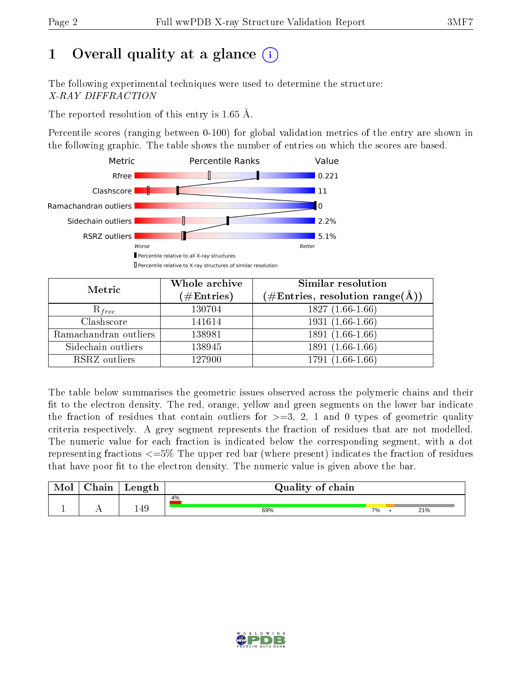## 1 [O](https://www.wwpdb.org/validation/2017/XrayValidationReportHelp#overall_quality)verall quality at a glance  $(i)$

The following experimental techniques were used to determine the structure: X-RAY DIFFRACTION

The reported resolution of this entry is 1.65 Å.

Percentile scores (ranging between 0-100) for global validation metrics of the entry are shown in the following graphic. The table shows the number of entries on which the scores are based.



| Metric                | Whole archive<br>$(\#\mathrm{Entries})$ | Similar resolution<br>$(\#\text{Entries},\, \text{resolution}\; \text{range}(\textup{\AA}))$ |  |  |
|-----------------------|-----------------------------------------|----------------------------------------------------------------------------------------------|--|--|
| $R_{free}$            | 130704                                  | $1827(1.66-1.66)$                                                                            |  |  |
| Clashscore            | 141614                                  | $1931(1.66-1.66)$                                                                            |  |  |
| Ramachandran outliers | 138981                                  | $1891(1.66-1.66)$                                                                            |  |  |
| Sidechain outliers    | 138945                                  | 1891 (1.66-1.66)                                                                             |  |  |
| RSRZ outliers         | 127900                                  | $1791(1.66-1.66)$                                                                            |  |  |

The table below summarises the geometric issues observed across the polymeric chains and their fit to the electron density. The red, orange, yellow and green segments on the lower bar indicate the fraction of residues that contain outliers for  $>=3, 2, 1$  and 0 types of geometric quality criteria respectively. A grey segment represents the fraction of residues that are not modelled. The numeric value for each fraction is indicated below the corresponding segment, with a dot representing fractions <=5% The upper red bar (where present) indicates the fraction of residues that have poor fit to the electron density. The numeric value is given above the bar.

| Mol | $\cap$ hain | Length | Quality of chain |    |  |     |  |  |
|-----|-------------|--------|------------------|----|--|-----|--|--|
|     |             |        | 4%               |    |  |     |  |  |
| л.  | . .         | 149    | 69%              | 7% |  | 21% |  |  |

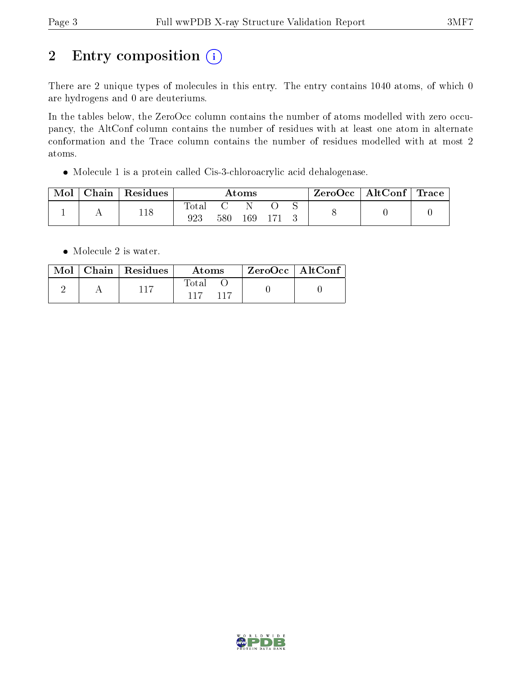## 2 Entry composition (i)

There are 2 unique types of molecules in this entry. The entry contains 1040 atoms, of which 0 are hydrogens and 0 are deuteriums.

In the tables below, the ZeroOcc column contains the number of atoms modelled with zero occupancy, the AltConf column contains the number of residues with at least one atom in alternate conformation and the Trace column contains the number of residues modelled with at most 2 atoms.

Molecule 1 is a protein called Cis-3-chloroacrylic acid dehalogenase.

| Mol | $\cap$ hain | $\perp$ Residues | $\rm\bf Atoms$ |     |     |  | $\text{ZeroOcc}$   AltConf   Trace |  |  |
|-----|-------------|------------------|----------------|-----|-----|--|------------------------------------|--|--|
|     |             | 118              | ota.<br>923    | 580 | 169 |  |                                    |  |  |

• Molecule 2 is water.

|  | $\text{Mol}$   Chain   Residues | Atoms                  | $^\mathrm{+}$ ZeroOcc $\mathrm{~\vert}$ AltConf $\mathrm{~\vert}$ |  |
|--|---------------------------------|------------------------|-------------------------------------------------------------------|--|
|  | 117                             | Total<br>$-117$<br>117 |                                                                   |  |

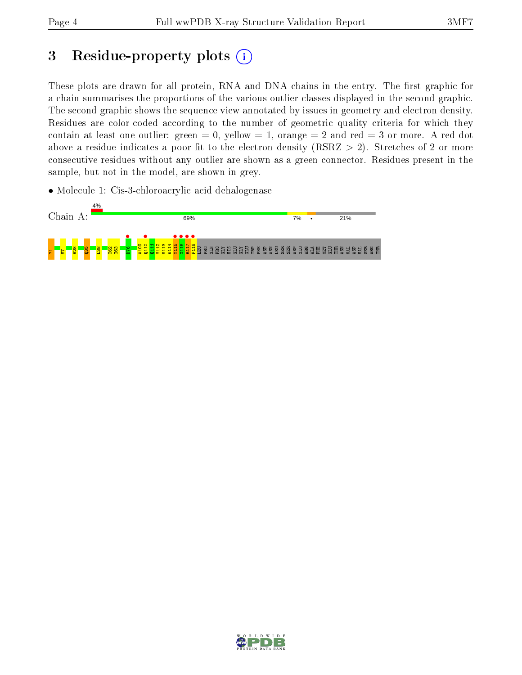## 3 Residue-property plots  $(i)$

These plots are drawn for all protein, RNA and DNA chains in the entry. The first graphic for a chain summarises the proportions of the various outlier classes displayed in the second graphic. The second graphic shows the sequence view annotated by issues in geometry and electron density. Residues are color-coded according to the number of geometric quality criteria for which they contain at least one outlier: green  $= 0$ , yellow  $= 1$ , orange  $= 2$  and red  $= 3$  or more. A red dot above a residue indicates a poor fit to the electron density (RSRZ  $> 2$ ). Stretches of 2 or more consecutive residues without any outlier are shown as a green connector. Residues present in the sample, but not in the model, are shown in grey.

• Molecule 1: Cis-3-chloroacrylic acid dehalogenase



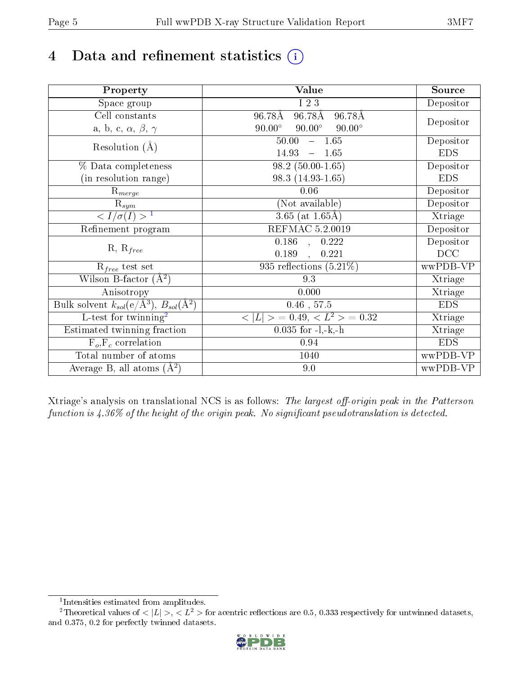## 4 Data and refinement statistics  $(i)$

| Property                                                             | Value                                           | Source     |
|----------------------------------------------------------------------|-------------------------------------------------|------------|
| Space group                                                          | I 2 3                                           | Depositor  |
| Cell constants                                                       | 96.78Å<br>96.78Å<br>96.78Å                      |            |
| a, b, c, $\alpha$ , $\beta$ , $\gamma$                               | $90.00^\circ$<br>$90.00^\circ$<br>$90.00^\circ$ | Depositor  |
| Resolution $(A)$                                                     | $-1.65$<br>50.00                                | Depositor  |
|                                                                      | 14.93<br>$-1.65$                                | <b>EDS</b> |
| % Data completeness                                                  | $98.2(50.00-1.65)$                              | Depositor  |
| (in resolution range)                                                | 98.3 (14.93-1.65)                               | <b>EDS</b> |
| $R_{merge}$                                                          | 0.06                                            | Depositor  |
| $\mathrm{R}_{sym}$                                                   | (Not available)                                 | Depositor  |
| $\sqrt{I/\sigma}(I) > 1$                                             | 3.65 (at $1.65\text{\AA}$ )                     | Xtriage    |
| Refinement program                                                   | REFMAC 5.2.0019                                 | Depositor  |
|                                                                      | $\overline{0.186}$ ,<br>0.222                   | Depositor  |
| $R, R_{free}$                                                        | 0.189<br>0.221                                  | DCC        |
| $R_{free}$ test set                                                  | 935 reflections $(5.21\%)$                      | wwPDB-VP   |
| Wilson B-factor $(A^2)$                                              | 9.3                                             | Xtriage    |
| Anisotropy                                                           | 0.000                                           | Xtriage    |
| Bulk solvent $k_{sol}(e/\mathring{A}^3)$ , $B_{sol}(\mathring{A}^2)$ | $0.46$ , $57.5$                                 | <b>EDS</b> |
| L-test for twinning <sup>2</sup>                                     | $< L >$ = 0.49, $< L2$ = 0.32                   | Xtriage    |
| Estimated twinning fraction                                          | $0.035$ for $-l,-k,-h$                          | Xtriage    |
| $F_o, F_c$ correlation                                               | 0.94                                            | <b>EDS</b> |
| Total number of atoms                                                | 1040                                            | wwPDB-VP   |
| Average B, all atoms $(A^2)$                                         | 9.0                                             | wwPDB-VP   |

Xtriage's analysis on translational NCS is as follows: The largest off-origin peak in the Patterson function is  $4.36\%$  of the height of the origin peak. No significant pseudotranslation is detected.

<sup>&</sup>lt;sup>2</sup>Theoretical values of  $\langle |L| \rangle$ ,  $\langle L^2 \rangle$  for acentric reflections are 0.5, 0.333 respectively for untwinned datasets, and 0.375, 0.2 for perfectly twinned datasets.



<span id="page-4-1"></span><span id="page-4-0"></span><sup>1</sup> Intensities estimated from amplitudes.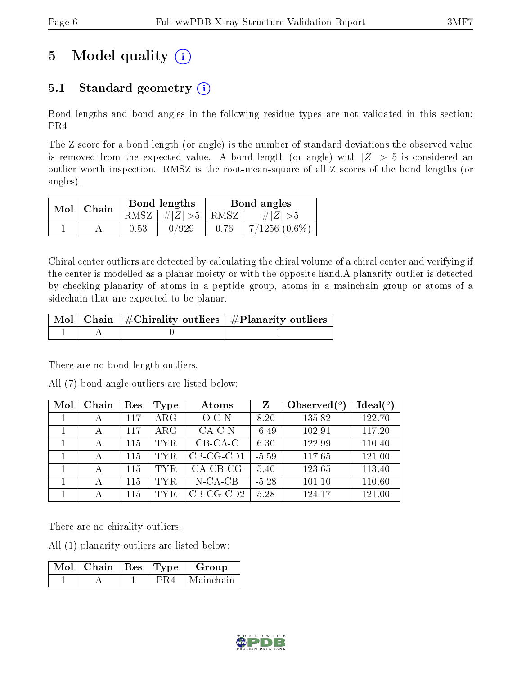## 5 Model quality  $(i)$

### 5.1 Standard geometry  $(i)$

Bond lengths and bond angles in the following residue types are not validated in this section: PR4

The Z score for a bond length (or angle) is the number of standard deviations the observed value is removed from the expected value. A bond length (or angle) with  $|Z| > 5$  is considered an outlier worth inspection. RMSZ is the root-mean-square of all Z scores of the bond lengths (or angles).

| $Mol$   Chain |      | Bond lengths                   | Bond angles |                    |  |
|---------------|------|--------------------------------|-------------|--------------------|--|
|               |      | RMSZ $\mid \#Z \mid >5$   RMSZ |             | $\# Z  > 5$        |  |
|               | 0.53 | 0/929                          | 0.76        | $7/1256$ $(0.6\%)$ |  |

Chiral center outliers are detected by calculating the chiral volume of a chiral center and verifying if the center is modelled as a planar moiety or with the opposite hand.A planarity outlier is detected by checking planarity of atoms in a peptide group, atoms in a mainchain group or atoms of a sidechain that are expected to be planar.

|  | $\mid$ Mol $\mid$ Chain $\mid$ #Chirality outliers $\mid$ #Planarity outliers $\mid$ |
|--|--------------------------------------------------------------------------------------|
|  |                                                                                      |

There are no bond length outliers.

All (7) bond angle outliers are listed below:

| Mol | Chain | Res | <b>Type</b> | Atoms       | Z       | Observed $(°)$ | $\text{Ideal}({}^o)$ |
|-----|-------|-----|-------------|-------------|---------|----------------|----------------------|
|     |       | 117 | $\rm{ARG}$  | $O-C-N$     | 8.20    | 135.82         | 122.70               |
|     |       | 117 | ARG         | $CA-C-N$    | $-6.49$ | 102.91         | 117.20               |
|     |       | 115 | TYR.        | $CB-CA-C$   | 6.30    | 122.99         | 110.40               |
|     |       | 115 | TYR.        | $CB-CG-CD1$ | $-5.59$ | 117.65         | 121.00               |
|     |       | 115 | TYR.        | $CA$ -CB-CG | 5.40    | 123.65         | 113.40               |
|     | А     | 115 | TYR.        | $N-CA-CB$   | $-5.28$ | 101.10         | 110.60               |
|     |       | 115 | TYR.        | $CB-CG-CD2$ | 5.28    | 124.17         | 121.00               |

There are no chirality outliers.

All (1) planarity outliers are listed below:

| $\overline{\text{Mol}}$   Chain   Res   Type |  | Group     |
|----------------------------------------------|--|-----------|
|                                              |  | Mainchain |

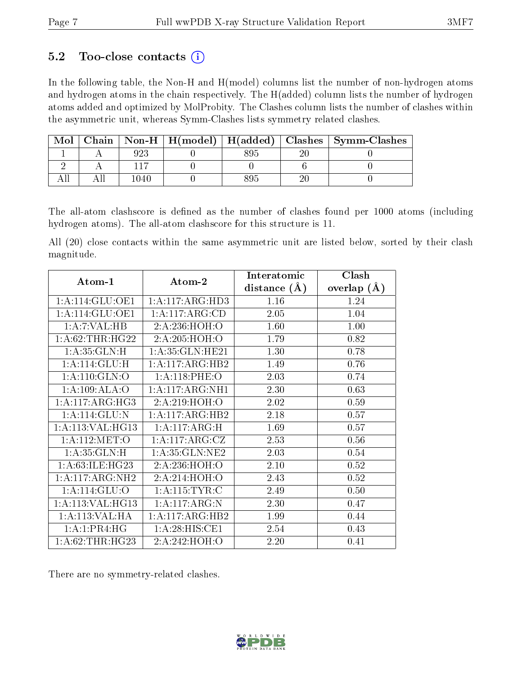### 5.2 Too-close contacts  $(i)$

In the following table, the Non-H and H(model) columns list the number of non-hydrogen atoms and hydrogen atoms in the chain respectively. The H(added) column lists the number of hydrogen atoms added and optimized by MolProbity. The Clashes column lists the number of clashes within the asymmetric unit, whereas Symm-Clashes lists symmetry related clashes.

| Mol |      |  |          | Chain   Non-H   H(model)   H(added)   Clashes   Symm-Clashes |
|-----|------|--|----------|--------------------------------------------------------------|
|     |      |  | ാ $\cap$ |                                                              |
|     |      |  |          |                                                              |
|     | 1040 |  |          |                                                              |

The all-atom clashscore is defined as the number of clashes found per 1000 atoms (including hydrogen atoms). The all-atom clashscore for this structure is 11.

All (20) close contacts within the same asymmetric unit are listed below, sorted by their clash magnitude.

| Atom-1             | Atom-2             | Interatomic    | Clash              |
|--------------------|--------------------|----------------|--------------------|
|                    |                    | distance $(A)$ | $(\AA)$<br>overlap |
| 1: A:114: GLU:OE1  | 1:A:117:ARG:HD3    | 1.16           | 1.24               |
| 1: A:114: GLU:OE1  | 1:A:117:ARG:CD     | 2.05           | 1.04               |
| 1: A: 7: VAL: HB   | 2:A:236:HOH:O      | 1.60           | 1.00               |
| 1: A:62:THR:HG22   | 2:A:205:HOH:O      | 1.79           | 0.82               |
| 1: A:35: GLN:H     | 1: A:35: GLN: HE21 | 1.30           | 0.78               |
| 1:A:114:GLU:H      | 1:A:117:ARG:HB2    | 1.49           | 0.76               |
| 1: A:110: GLN:O    | 1: A:118: PHE:O    | 2.03           | 0.74               |
| 1:A:109:ALA:O      | 1:A:117:ARG:NH1    | 2.30           | 0.63               |
| 1:A:117:ARG:HG3    | 2: A:219: HOH:O    | 2.02           | 0.59               |
| 1: A:114: GLU:N    | 1:A:117:ARG:HB2    | 2.18           | 0.57               |
| 1: A:113: VAL:HG13 | 1:A:117:ARG:H      | 1.69           | 0.57               |
| 1:A:112:MET:O      | 1:A:117:ARG:CZ     | 2.53           | 0.56               |
| 1: A:35: GLN:H     | 1: A:35: GLN:NE2   | 2.03           | 0.54               |
| 1: A:63: ILE: HG23 | 2:A:236:HOH:O      | 2.10           | 0.52               |
| 1:A:117:ARG:NH2    | 2:A:214:HOH:O      | 2.43           | 0.52               |
| 1:A:114:GLU:O      | 1: A:115: TYR: C   | 2.49           | 0.50               |
| 1: A:113: VAL:HG13 | 1:A:117:ARG:N      | 2.30           | 0.47               |
| 1:A:113:VAL:HA     | 1:A:117:ARG:HB2    | 1.99           | 0.44               |
| 1: A:1:PR4:HG      | 1:A:28:HIS:CE1     | 2.54           | 0.43               |
| 1: A:62:THR:HG23   | 2:A:242:HOH:O      | 2.20           | 0.41               |

There are no symmetry-related clashes.

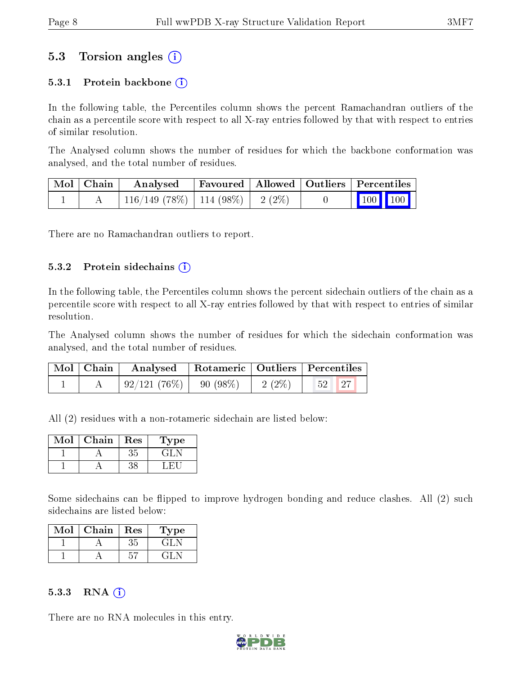### 5.3 Torsion angles (i)

#### 5.3.1 Protein backbone  $(i)$

In the following table, the Percentiles column shows the percent Ramachandran outliers of the chain as a percentile score with respect to all X-ray entries followed by that with respect to entries of similar resolution.

The Analysed column shows the number of residues for which the backbone conformation was analysed, and the total number of residues.

| $\mid$ Mol $\mid$ Chain $\mid$ | Analysed                                | Favoured   Allowed   Outliers   Percentiles |  |                         |  |
|--------------------------------|-----------------------------------------|---------------------------------------------|--|-------------------------|--|
|                                | $116/149$ (78\%)   114 (98\%)   2 (2\%) |                                             |  | $\vert$ 100 100 $\vert$ |  |

There are no Ramachandran outliers to report.

#### $5.3.2$  Protein sidechains  $(i)$

In the following table, the Percentiles column shows the percent sidechain outliers of the chain as a percentile score with respect to all X-ray entries followed by that with respect to entries of similar resolution.

The Analysed column shows the number of residues for which the sidechain conformation was analysed, and the total number of residues.

| Mol   Chain | Analysed   Rotameric   Outliers   Percentiles |          |         |  |
|-------------|-----------------------------------------------|----------|---------|--|
|             | $\mid 92/121 \; (76\%) \mid 90 \; (98\%)$     | $2(2\%)$ | $52$ 27 |  |

All (2) residues with a non-rotameric sidechain are listed below:

| Mol | Chain | Res | Type |
|-----|-------|-----|------|
|     |       | 3.F |      |
|     |       |     |      |

Some sidechains can be flipped to improve hydrogen bonding and reduce clashes. All (2) such sidechains are listed below:

| Mol | Chain | Res | Type   |
|-----|-------|-----|--------|
|     |       | 35  | ا تا ش |
|     |       |     |        |

#### $5.3.3$  RNA  $(i)$

There are no RNA molecules in this entry.

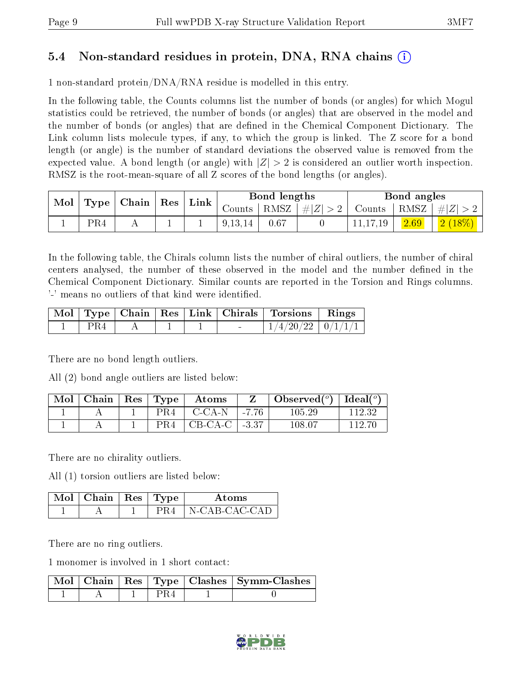### 5.4 Non-standard residues in protein, DNA, RNA chains (i)

1 non-standard protein/DNA/RNA residue is modelled in this entry.

In the following table, the Counts columns list the number of bonds (or angles) for which Mogul statistics could be retrieved, the number of bonds (or angles) that are observed in the model and the number of bonds (or angles) that are dened in the Chemical Component Dictionary. The Link column lists molecule types, if any, to which the group is linked. The Z score for a bond length (or angle) is the number of standard deviations the observed value is removed from the expected value. A bond length (or angle) with  $|Z| > 2$  is considered an outlier worth inspection. RMSZ is the root-mean-square of all Z scores of the bond lengths (or angles).

| Mol | Type            | Chain | Res | Link |           | Bond lengths             |    |        | Bond angles |           |
|-----|-----------------|-------|-----|------|-----------|--------------------------|----|--------|-------------|-----------|
|     |                 |       |     |      |           | $\mathrm{Counts}$   RMSZ | #Z | Counts | RMSZ        | $\pm  Z $ |
|     | PR <sub>4</sub> |       |     |      | 9, 13, 14 | 0.67                     |    | .19    |             | $2(18\%)$ |

In the following table, the Chirals column lists the number of chiral outliers, the number of chiral centers analysed, the number of these observed in the model and the number defined in the Chemical Component Dictionary. Similar counts are reported in the Torsion and Rings columns. '-' means no outliers of that kind were identified.

|     |  |  | Mol   Type   Chain   Res   Link   Chirals   Torsions   Rings |  |
|-----|--|--|--------------------------------------------------------------|--|
| PR4 |  |  | $1/4/20/22$   $0/1/1/1$                                      |  |

There are no bond length outliers.

All (2) bond angle outliers are listed below:

| Mol | $\mid$ Chain $\mid$ Res $\mid$ Type |     | Atoms                       |         | Observed( $^{\circ}$ )   Ideal( $^{\circ}$ ) |        |
|-----|-------------------------------------|-----|-----------------------------|---------|----------------------------------------------|--------|
|     |                                     | PR4 | - C-CA-N                    | l -7 76 | 105.29                                       | 112.32 |
|     |                                     | PR4 | $\mid$ CB-CA-C $\mid$ -3.37 |         | $108.07\,$                                   | 119.7  |

There are no chirality outliers.

All (1) torsion outliers are listed below:

| $\Delta$ Mol $\parallel$ Chain $\parallel$ Res $\parallel$ Type $\perp$ |  | Atoms         |
|-------------------------------------------------------------------------|--|---------------|
|                                                                         |  | N-CAR-CAC-CAD |

There are no ring outliers.

1 monomer is involved in 1 short contact:

|  |  | Mol   Chain   Res   Type   Clashes   Symm-Clashes |
|--|--|---------------------------------------------------|
|  |  |                                                   |

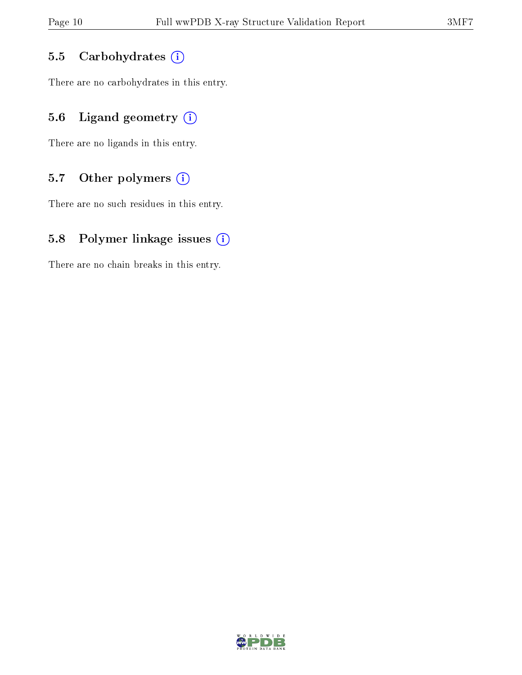#### 5.5 Carbohydrates (i)

There are no carbohydrates in this entry.

### 5.6 Ligand geometry  $(i)$

There are no ligands in this entry.

#### 5.7 [O](https://www.wwpdb.org/validation/2017/XrayValidationReportHelp#nonstandard_residues_and_ligands)ther polymers  $(i)$

There are no such residues in this entry.

#### 5.8 Polymer linkage issues  $(i)$

There are no chain breaks in this entry.

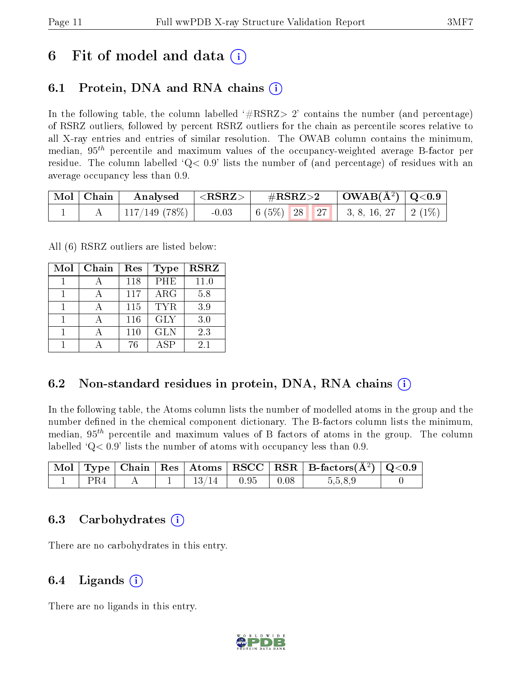### 6 Fit of model and data  $\left( \cdot \right)$

### 6.1 Protein, DNA and RNA chains (i)

In the following table, the column labelled  $#RSRZ>2'$  contains the number (and percentage) of RSRZ outliers, followed by percent RSRZ outliers for the chain as percentile scores relative to all X-ray entries and entries of similar resolution. The OWAB column contains the minimum, median,  $95<sup>th</sup>$  percentile and maximum values of the occupancy-weighted average B-factor per residue. The column labelled  $Q< 0.9$  lists the number of (and percentage) of residues with an average occupancy less than 0.9.

| $\mid$ Mol $\mid$ Chain $\mid$ | Analysed                  | $^{-1} <$ $\rm{RSRZ}$ $>$ $^{-1}$ | $\#\text{RSRZ}\text{>2}$ | $\mid$ OWAB(Å <sup>2</sup> ) $\mid$ Q<0.9 |  |
|--------------------------------|---------------------------|-----------------------------------|--------------------------|-------------------------------------------|--|
|                                | $\pm 117/149$ (78%) $\pm$ | $-0.03$                           |                          |                                           |  |

All (6) RSRZ outliers are listed below:

| Mol | Chain | Res | <b>Type</b> | <b>RSRZ</b> |
|-----|-------|-----|-------------|-------------|
|     |       | 118 | PHE         | 11.0        |
|     |       | 117 | $\rm{ARG}$  | 5.8         |
|     |       | 115 | TYR.        | 3.9         |
|     |       | 116 | <b>GLY</b>  | 3.0         |
|     |       | 110 | <b>GLN</b>  | 2.3         |
|     |       | 76  | <b>ASP</b>  | 21          |

### 6.2 Non-standard residues in protein, DNA, RNA chains (i)

In the following table, the Atoms column lists the number of modelled atoms in the group and the number defined in the chemical component dictionary. The B-factors column lists the minimum, median,  $95<sup>th</sup>$  percentile and maximum values of B factors of atoms in the group. The column labelled  $^{\circ}Q<0.9'$  lists the number of atoms with occupancy less than 0.9.

|     |  |                |                                       | $\mid$ Mol $\mid$ Type $\mid$ Chain $\mid$ Res $\mid$ Atoms $\mid$ RSCC $\mid$ RSR $\mid$ B-factors(A <sup>2</sup> ) $\mid$ Q<0.9 |  |
|-----|--|----------------|---------------------------------------|-----------------------------------------------------------------------------------------------------------------------------------|--|
| PR4 |  | $13/14$   0.95 | $\begin{array}{c c} 0.08 \end{array}$ | 5,5,8,9                                                                                                                           |  |

### 6.3 Carbohydrates (i)

There are no carbohydrates in this entry.

### $6.4$  Ligands  $(i)$

There are no ligands in this entry.